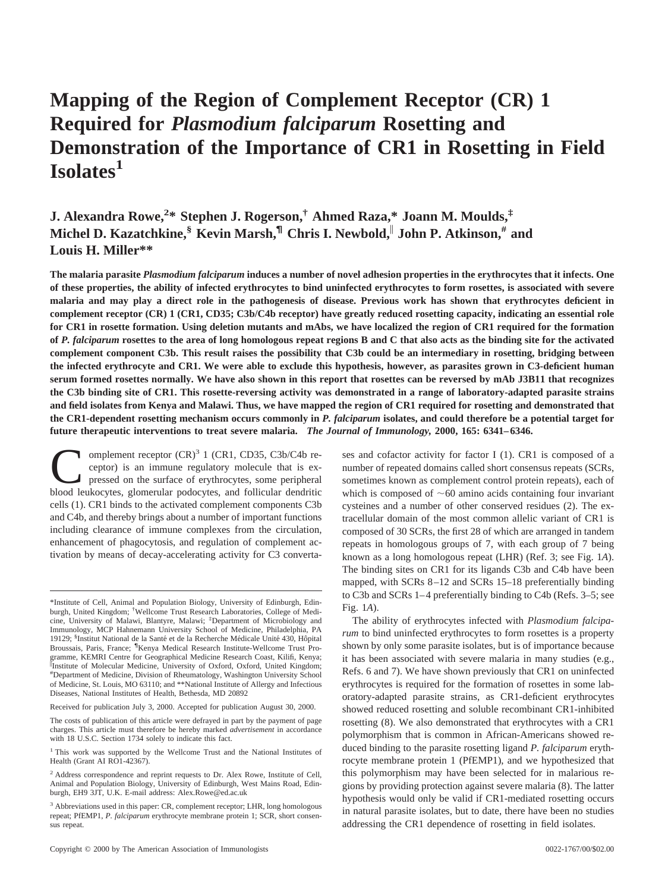# **Mapping of the Region of Complement Receptor (CR) 1 Required for** *Plasmodium falciparum* **Rosetting and Demonstration of the Importance of CR1 in Rosetting in Field Isolates1**

**J. Alexandra Rowe,<sup>2</sup> \* Stephen J. Rogerson,† Ahmed Raza,\* Joann M. Moulds,‡ Michel D. Kazatchkine,§ Kevin Marsh,¶ Chris I. Newbold,**<sup>i</sup> **John P. Atkinson,# and Louis H. Miller\*\***

**The malaria parasite** *Plasmodium falciparum* **induces a number of novel adhesion properties in the erythrocytes that it infects. One of these properties, the ability of infected erythrocytes to bind uninfected erythrocytes to form rosettes, is associated with severe malaria and may play a direct role in the pathogenesis of disease. Previous work has shown that erythrocytes deficient in complement receptor (CR) 1 (CR1, CD35; C3b/C4b receptor) have greatly reduced rosetting capacity, indicating an essential role for CR1 in rosette formation. Using deletion mutants and mAbs, we have localized the region of CR1 required for the formation of** *P. falciparum* **rosettes to the area of long homologous repeat regions B and C that also acts as the binding site for the activated complement component C3b. This result raises the possibility that C3b could be an intermediary in rosetting, bridging between the infected erythrocyte and CR1. We were able to exclude this hypothesis, however, as parasites grown in C3-deficient human serum formed rosettes normally. We have also shown in this report that rosettes can be reversed by mAb J3B11 that recognizes the C3b binding site of CR1. This rosette-reversing activity was demonstrated in a range of laboratory-adapted parasite strains and field isolates from Kenya and Malawi. Thus, we have mapped the region of CR1 required for rosetting and demonstrated that the CR1-dependent rosetting mechanism occurs commonly in** *P. falciparum* **isolates, and could therefore be a potential target for future therapeutic interventions to treat severe malaria.** *The Journal of Immunology,* **2000, 165: 6341–6346.**

omplement receptor  $(CR)^3$  1 (CR1, CD35, C3b/C4b receptor) is an immune regulatory molecule that is expressed on the surface of erythrocytes, some peripheral blood leukocytes, glomerular podocytes, and follicular dendritic cells (1). CR1 binds to the activated complement components C3b and C4b, and thereby brings about a number of important functions including clearance of immune complexes from the circulation, enhancement of phagocytosis, and regulation of complement activation by means of decay-accelerating activity for C3 converta-

Received for publication July 3, 2000. Accepted for publication August 30, 2000.

The costs of publication of this article were defrayed in part by the payment of page charges. This article must therefore be hereby marked *advertisement* in accordance with 18 U.S.C. Section 1734 solely to indicate this fact.

ses and cofactor activity for factor I (1). CR1 is composed of a number of repeated domains called short consensus repeats (SCRs, sometimes known as complement control protein repeats), each of which is composed of  $~60$  amino acids containing four invariant cysteines and a number of other conserved residues (2). The extracellular domain of the most common allelic variant of CR1 is composed of 30 SCRs, the first 28 of which are arranged in tandem repeats in homologous groups of 7, with each group of 7 being known as a long homologous repeat (LHR) (Ref. 3; see Fig. 1*A*). The binding sites on CR1 for its ligands C3b and C4b have been mapped, with SCRs 8–12 and SCRs 15–18 preferentially binding to C3b and SCRs 1–4 preferentially binding to C4b (Refs. 3–5; see Fig. 1*A*).

The ability of erythrocytes infected with *Plasmodium falciparum* to bind uninfected erythrocytes to form rosettes is a property shown by only some parasite isolates, but is of importance because it has been associated with severe malaria in many studies (e.g., Refs. 6 and 7). We have shown previously that CR1 on uninfected erythrocytes is required for the formation of rosettes in some laboratory-adapted parasite strains, as CR1-deficient erythrocytes showed reduced rosetting and soluble recombinant CR1-inhibited rosetting (8). We also demonstrated that erythrocytes with a CR1 polymorphism that is common in African-Americans showed reduced binding to the parasite rosetting ligand *P. falciparum* erythrocyte membrane protein 1 (PfEMP1), and we hypothesized that this polymorphism may have been selected for in malarious regions by providing protection against severe malaria (8). The latter hypothesis would only be valid if CR1-mediated rosetting occurs in natural parasite isolates, but to date, there have been no studies addressing the CR1 dependence of rosetting in field isolates.

<sup>\*</sup>Institute of Cell, Animal and Population Biology, University of Edinburgh, Edinburgh, United Kingdom; † Wellcome Trust Research Laboratories, College of Medicine, University of Malawi, Blantyre, Malawi; ‡ Department of Microbiology and Immunology, MCP Hahnemann University School of Medicine, Philadelphia, PA 19129; <sup>§</sup>Institut National de la Santé et de la Recherche Médicale Unité 430, Hôpital Broussais, Paris, France; <sup>¶</sup>Kenya Medical Research Institute-Wellcome Trust Programme, KEMRI Centre for Geographical Medicine Research Coast, Kilifi, Kenya; <sup>[</sup>Institute of Molecular Medicine, University of Oxford, Oxford, United Kingdom; # Department of Medicine, Division of Rheumatology, Washington University School of Medicine, St. Louis, MO 63110; and \*\*National Institute of Allergy and Infectious Diseases, National Institutes of Health, Bethesda, MD 20892

<sup>&</sup>lt;sup>1</sup> This work was supported by the Wellcome Trust and the National Institutes of Health (Grant AI RO1-42367).

<sup>&</sup>lt;sup>2</sup> Address correspondence and reprint requests to Dr. Alex Rowe, Institute of Cell, Animal and Population Biology, University of Edinburgh, West Mains Road, Edinburgh, EH9 3JT, U.K. E-mail address: Alex.Rowe@ed.ac.uk

<sup>&</sup>lt;sup>3</sup> Abbreviations used in this paper: CR, complement receptor; LHR, long homologous repeat; PfEMP1, *P. falciparum* erythrocyte membrane protein 1; SCR, short consensus repeat.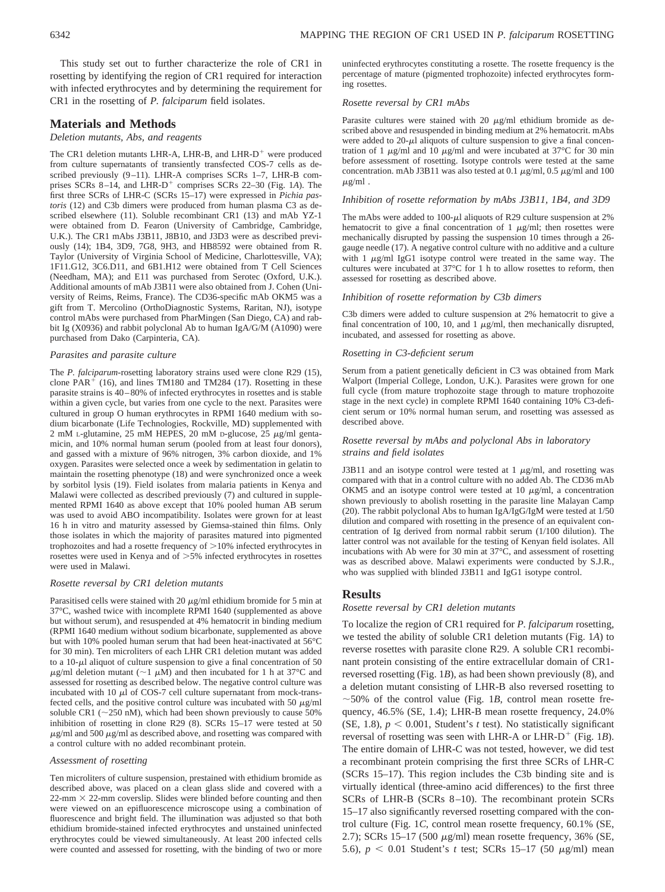This study set out to further characterize the role of CR1 in rosetting by identifying the region of CR1 required for interaction with infected erythrocytes and by determining the requirement for CR1 in the rosetting of *P. falciparum* field isolates.

# **Materials and Methods**

#### *Deletion mutants, Abs, and reagents*

The CR1 deletion mutants LHR-A, LHR-B, and LHR- $D^+$  were produced from culture supernatants of transiently transfected COS-7 cells as described previously (9–11). LHR-A comprises SCRs 1–7, LHR-B comprises SCRs  $8-14$ , and LHR-D<sup>+</sup> comprises SCRs 22–30 (Fig. 1*A*). The first three SCRs of LHR-C (SCRs 15–17) were expressed in *Pichia pastoris* (12) and C3b dimers were produced from human plasma C3 as described elsewhere (11). Soluble recombinant CR1 (13) and mAb YZ-1 were obtained from D. Fearon (University of Cambridge, Cambridge, U.K.). The CR1 mAbs J3B11, J8B10, and J3D3 were as described previously (14); 1B4, 3D9, 7G8, 9H3, and HB8592 were obtained from R. Taylor (University of Virginia School of Medicine, Charlottesville, VA); 1F11.G12, 3C6.D11, and 6B1.H12 were obtained from T Cell Sciences (Needham, MA); and E11 was purchased from Serotec (Oxford, U.K.). Additional amounts of mAb J3B11 were also obtained from J. Cohen (University of Reims, Reims, France). The CD36-specific mAb OKM5 was a gift from T. Mercolino (OrthoDiagnostic Systems, Raritan, NJ), isotype control mAbs were purchased from PharMingen (San Diego, CA) and rabbit Ig (X0936) and rabbit polyclonal Ab to human IgA/G/M (A1090) were purchased from Dako (Carpinteria, CA).

#### *Parasites and parasite culture*

The *P. falciparum-*rosetting laboratory strains used were clone R29 (15), clone  $PAR<sup>+</sup>$  (16), and lines TM180 and TM284 (17). Rosetting in these parasite strains is 40–80% of infected erythrocytes in rosettes and is stable within a given cycle, but varies from one cycle to the next. Parasites were cultured in group O human erythrocytes in RPMI 1640 medium with sodium bicarbonate (Life Technologies, Rockville, MD) supplemented with 2 mM L-glutamine, 25 mM HEPES, 20 mM D-glucose, 25  $\mu$ g/ml gentamicin, and 10% normal human serum (pooled from at least four donors), and gassed with a mixture of 96% nitrogen, 3% carbon dioxide, and 1% oxygen. Parasites were selected once a week by sedimentation in gelatin to maintain the rosetting phenotype (18) and were synchronized once a week by sorbitol lysis (19). Field isolates from malaria patients in Kenya and Malawi were collected as described previously (7) and cultured in supplemented RPMI 1640 as above except that 10% pooled human AB serum was used to avoid ABO incompatibility. Isolates were grown for at least 16 h in vitro and maturity assessed by Giemsa-stained thin films. Only those isolates in which the majority of parasites matured into pigmented trophozoites and had a rosette frequency of  $>10\%$  infected erythrocytes in rosettes were used in Kenya and of >5% infected erythrocytes in rosettes were used in Malawi.

#### *Rosette reversal by CR1 deletion mutants*

Parasitised cells were stained with 20  $\mu$ g/ml ethidium bromide for 5 min at 37°C, washed twice with incomplete RPMI 1640 (supplemented as above but without serum), and resuspended at 4% hematocrit in binding medium (RPMI 1640 medium without sodium bicarbonate, supplemented as above but with 10% pooled human serum that had been heat-inactivated at 56°C for 30 min). Ten microliters of each LHR CR1 deletion mutant was added to a 10- $\mu$ l aliquot of culture suspension to give a final concentration of 50  $\mu$ g/ml deletion mutant (~1  $\mu$ M) and then incubated for 1 h at 37°C and assessed for rosetting as described below. The negative control culture was incubated with 10  $\mu$ l of COS-7 cell culture supernatant from mock-transfected cells, and the positive control culture was incubated with 50  $\mu$ g/ml soluble CR1 ( $\sim$ 250 nM), which had been shown previously to cause 50% inhibition of rosetting in clone R29 (8). SCRs 15–17 were tested at 50  $\mu$ g/ml and 500  $\mu$ g/ml as described above, and rosetting was compared with a control culture with no added recombinant protein.

#### *Assessment of rosetting*

Ten microliters of culture suspension, prestained with ethidium bromide as described above, was placed on a clean glass slide and covered with a  $22$ -mm  $\times$  22-mm coverslip. Slides were blinded before counting and then were viewed on an epifluorescence microscope using a combination of fluorescence and bright field. The illumination was adjusted so that both ethidium bromide-stained infected erythrocytes and unstained uninfected erythrocytes could be viewed simultaneously. At least 200 infected cells were counted and assessed for rosetting, with the binding of two or more uninfected erythrocytes constituting a rosette. The rosette frequency is the percentage of mature (pigmented trophozoite) infected erythrocytes forming rosettes.

# *Rosette reversal by CR1 mAbs*

Parasite cultures were stained with 20  $\mu$ g/ml ethidium bromide as described above and resuspended in binding medium at 2% hematocrit. mAbs were added to  $20-\mu l$  aliquots of culture suspension to give a final concentration of 1  $\mu$ g/ml and 10  $\mu$ g/ml and were incubated at 37°C for 30 min before assessment of rosetting. Isotype controls were tested at the same concentration. mAb J3B11 was also tested at 0.1  $\mu$ g/ml, 0.5  $\mu$ g/ml and 100  $\mu$ g/ml.

#### *Inhibition of rosette reformation by mAbs J3B11, 1B4, and 3D9*

The mAbs were added to 100- $\mu$ l aliquots of R29 culture suspension at 2% hematocrit to give a final concentration of 1  $\mu$ g/ml; then rosettes were mechanically disrupted by passing the suspension 10 times through a 26 gauge needle (17). A negative control culture with no additive and a culture with  $1 \mu g/ml$  IgG1 isotype control were treated in the same way. The cultures were incubated at 37°C for 1 h to allow rosettes to reform, then assessed for rosetting as described above.

#### *Inhibition of rosette reformation by C3b dimers*

C3b dimers were added to culture suspension at 2% hematocrit to give a final concentration of 100, 10, and 1  $\mu$ g/ml, then mechanically disrupted, incubated, and assessed for rosetting as above.

# *Rosetting in C3-deficient serum*

Serum from a patient genetically deficient in C3 was obtained from Mark Walport (Imperial College, London, U.K.). Parasites were grown for one full cycle (from mature trophozoite stage through to mature trophozoite stage in the next cycle) in complete RPMI 1640 containing 10% C3-deficient serum or 10% normal human serum, and rosetting was assessed as described above.

### *Rosette reversal by mAbs and polyclonal Abs in laboratory strains and field isolates*

J3B11 and an isotype control were tested at  $1 \mu g/ml$ , and rosetting was compared with that in a control culture with no added Ab. The CD36 mAb OKM5 and an isotype control were tested at 10  $\mu$ g/ml, a concentration shown previously to abolish rosetting in the parasite line Malayan Camp (20). The rabbit polyclonal Abs to human IgA/IgG/IgM were tested at 1/50 dilution and compared with rosetting in the presence of an equivalent concentration of Ig derived from normal rabbit serum (1/100 dilution). The latter control was not available for the testing of Kenyan field isolates. All incubations with Ab were for 30 min at 37°C, and assessment of rosetting was as described above. Malawi experiments were conducted by S.J.R., who was supplied with blinded J3B11 and IgG1 isotype control.

# **Results**

# *Rosette reversal by CR1 deletion mutants*

To localize the region of CR1 required for *P. falciparum* rosetting, we tested the ability of soluble CR1 deletion mutants (Fig. 1*A*) to reverse rosettes with parasite clone R29. A soluble CR1 recombinant protein consisting of the entire extracellular domain of CR1 reversed rosetting (Fig. 1*B*), as had been shown previously (8), and a deletion mutant consisting of LHR-B also reversed rosetting to  $\sim$  50% of the control value (Fig. 1*B*, control mean rosette frequency, 46.5% (SE, 1.4); LHR-B mean rosette frequency, 24.0% (SE, 1.8),  $p < 0.001$ , Student's *t* test). No statistically significant reversal of rosetting was seen with LHR-A or LHR-D<sup>+</sup> (Fig. 1*B*). The entire domain of LHR-C was not tested, however, we did test a recombinant protein comprising the first three SCRs of LHR-C (SCRs 15–17). This region includes the C3b binding site and is virtually identical (three-amino acid differences) to the first three SCRs of LHR-B (SCRs 8–10). The recombinant protein SCRs 15–17 also significantly reversed rosetting compared with the control culture (Fig. 1*C*, control mean rosette frequency, 60.1% (SE, 2.7); SCRs  $15-17$  (500  $\mu$ g/ml) mean rosette frequency, 36% (SE, 5.6),  $p < 0.01$  Student's *t* test; SCRs 15–17 (50  $\mu$ g/ml) mean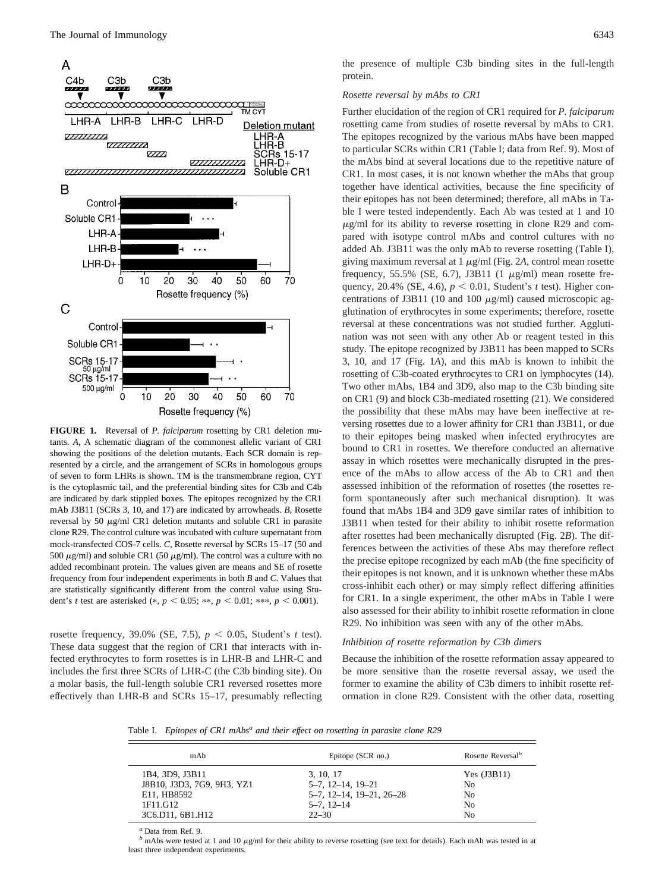

**FIGURE 1.** Reversal of *P. falciparum* rosetting by CR1 deletion mutants. *A*, A schematic diagram of the commonest allelic variant of CR1 showing the positions of the deletion mutants. Each SCR domain is represented by a circle, and the arrangement of SCRs in homologous groups of seven to form LHRs is shown. TM is the transmembrane region, CYT is the cytoplasmic tail, and the preferential binding sites for C3b and C4b are indicated by dark stippled boxes. The epitopes recognized by the CR1 mAb J3B11 (SCRs 3, 10, and 17) are indicated by arrowheads. *B*, Rosette reversal by 50  $\mu$ g/ml CR1 deletion mutants and soluble CR1 in parasite clone R29. The control culture was incubated with culture supernatant from mock-transfected COS-7 cells. *C*, Rosette reversal by SCRs 15–17 (50 and 500  $\mu\mathrm{g/mL}$  and soluble CR1 (50  $\mu\mathrm{g/mL}$  ). The control was a culture with no added recombinant protein. The values given are means and SE of rosette frequency from four independent experiments in both *B* and *C*. Values that are statistically significantly different from the control value using Student's *t* test are asterisked (\*,  $p < 0.05$ ; \*\*,  $p < 0.01$ ; \*\*\*,  $p < 0.001$ ).

rosette frequency, 39.0% (SE, 7.5),  $p < 0.05$ , Student's *t* test). These data suggest that the region of CR1 that interacts with infected erythrocytes to form rosettes is in LHR-B and LHR-C and includes the first three SCRs of LHR-C (the C3b binding site). On a molar basis, the full-length soluble CR1 reversed rosettes more effectively than LHR-B and SCRs 15–17, presumably reflecting

the presence of multiple C3b binding sites in the full-length protein.

# *Rosette reversal by mAbs to CR1*

Further elucidation of the region of CR1 required for *P. falciparum* rosetting came from studies of rosette reversal by mAbs to CR1. The epitopes recognized by the various mAbs have been mapped to particular SCRs within CR1 (Table I; data from Ref. 9). Most of the mAbs bind at several locations due to the repetitive nature of CR1. In most cases, it is not known whether the mAbs that group together have identical activities, because the fine specificity of their epitopes has not been determined; therefore, all mAbs in Table I were tested independently. Each Ab was tested at 1 and 10  $\mu$ g/ml for its ability to reverse rosetting in clone R29 and compared with isotype control mAbs and control cultures with no added Ab. J3B11 was the only mAb to reverse rosetting (Table I), giving maximum reversal at  $1 \mu g/ml$  (Fig. 2A, control mean rosette frequency, 55.5% (SE, 6.7), J3B11 (1  $\mu$ g/ml) mean rosette frequency, 20.4% (SE, 4.6),  $p < 0.01$ , Student's *t* test). Higher concentrations of J3B11 (10 and 100  $\mu$ g/ml) caused microscopic agglutination of erythrocytes in some experiments; therefore, rosette reversal at these concentrations was not studied further. Agglutination was not seen with any other Ab or reagent tested in this study. The epitope recognized by J3B11 has been mapped to SCRs 3, 10, and 17 (Fig. 1*A*), and this mAb is known to inhibit the rosetting of C3b-coated erythrocytes to CR1 on lymphocytes (14). Two other mAbs, 1B4 and 3D9, also map to the C3b binding site on CR1 (9) and block C3b-mediated rosetting (21). We considered the possibility that these mAbs may have been ineffective at reversing rosettes due to a lower affinity for CR1 than J3B11, or due to their epitopes being masked when infected erythrocytes are bound to CR1 in rosettes. We therefore conducted an alternative assay in which rosettes were mechanically disrupted in the presence of the mAbs to allow access of the Ab to CR1 and then assessed inhibition of the reformation of rosettes (the rosettes reform spontaneously after such mechanical disruption). It was found that mAbs 1B4 and 3D9 gave similar rates of inhibition to J3B11 when tested for their ability to inhibit rosette reformation after rosettes had been mechanically disrupted (Fig. 2*B*). The differences between the activities of these Abs may therefore reflect the precise epitope recognized by each mAb (the fine specificity of their epitopes is not known, and it is unknown whether these mAbs cross-inhibit each other) or may simply reflect differing affinities for CR1. In a single experiment, the other mAbs in Table I were also assessed for their ability to inhibit rosette reformation in clone R29. No inhibition was seen with any of the other mAbs.

#### *Inhibition of rosette reformation by C3b dimers*

Because the inhibition of the rosette reformation assay appeared to be more sensitive than the rosette reversal assay, we used the former to examine the ability of C3b dimers to inhibit rosette reformation in clone R29. Consistent with the other data, rosetting

Table I. *Epitopes of CR1 mAbs<sup>a</sup> and their effect on rosetting in parasite clone R29*

| mAb                                                                                          | Epitope (SCR no.)                                                                                    | Rosette Reversal <sup>b</sup>                     |
|----------------------------------------------------------------------------------------------|------------------------------------------------------------------------------------------------------|---------------------------------------------------|
| 1B4, 3D9, J3B11<br>J8B10, J3D3, 7G9, 9H3, YZ1<br>E11, HB8592<br>1F11.G12<br>3C6.D11, 6B1.H12 | 3, 10, 17<br>$5-7, 12-14, 19-21$<br>$5-7$ , $12-14$ , $19-21$ , $26-28$<br>$5-7, 12-14$<br>$22 - 30$ | Yes $(J3B11)$<br>No<br>No<br>No<br>N <sub>0</sub> |
|                                                                                              |                                                                                                      |                                                   |

*<sup>a</sup>* Data from Ref. 9.

*b* mAbs were tested at 1 and 10  $\mu$ g/ml for their ability to reverse rosetting (see text for details). Each mAb was tested in at least three independent experiments.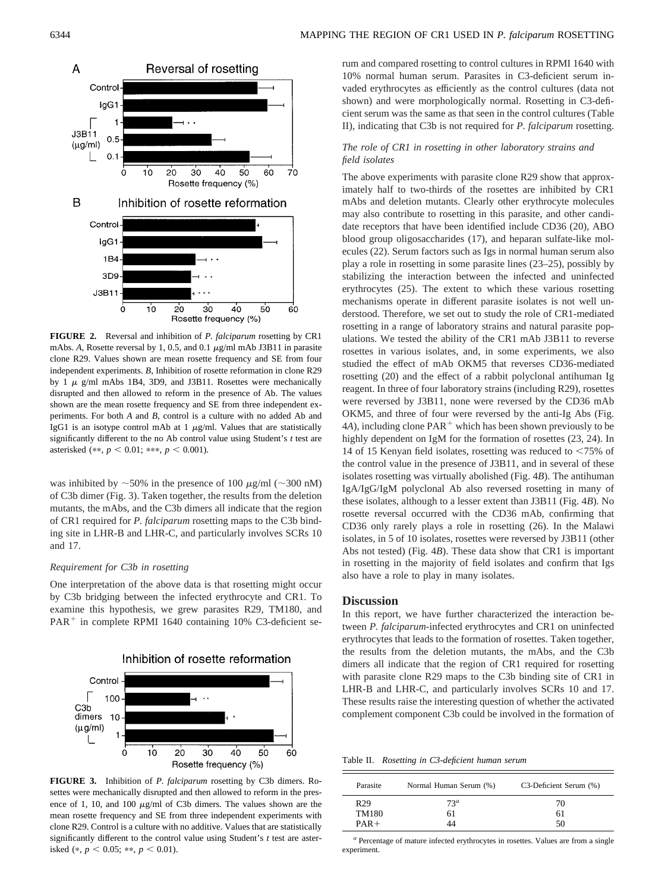

**FIGURE 2.** Reversal and inhibition of *P. falciparum* rosetting by CR1 mAbs. A, Rosette reversal by 1, 0.5, and 0.1  $\mu$ g/ml mAb J3B11 in parasite clone R29. Values shown are mean rosette frequency and SE from four independent experiments. *B*, Inhibition of rosette reformation in clone R29 by 1  $\mu$  g/ml mAbs 1B4, 3D9, and J3B11. Rosettes were mechanically disrupted and then allowed to reform in the presence of Ab. The values shown are the mean rosette frequency and SE from three independent experiments. For both *A* and *B*, control is a culture with no added Ab and IgG1 is an isotype control mAb at  $1 \mu g/ml$ . Values that are statistically significantly different to the no Ab control value using Student's *t* test are asterisked (\*\*,  $p < 0.01$ ; \*\*\*,  $p < 0.001$ ).

was inhibited by  $\sim$  50% in the presence of 100  $\mu$ g/ml ( $\sim$ 300 nM) of C3b dimer (Fig. 3). Taken together, the results from the deletion mutants, the mAbs, and the C3b dimers all indicate that the region of CR1 required for *P. falciparum* rosetting maps to the C3b binding site in LHR-B and LHR-C, and particularly involves SCRs 10 and 17.

# *Requirement for C3b in rosetting*

One interpretation of the above data is that rosetting might occur by C3b bridging between the infected erythrocyte and CR1. To examine this hypothesis, we grew parasites R29, TM180, and  $PAR<sup>+</sup>$  in complete RPMI 1640 containing 10% C3-deficient se-



**FIGURE 3.** Inhibition of *P. falciparum* rosetting by C3b dimers. Rosettes were mechanically disrupted and then allowed to reform in the presence of 1, 10, and 100  $\mu$ g/ml of C3b dimers. The values shown are the mean rosette frequency and SE from three independent experiments with clone R29. Control is a culture with no additive. Values that are statistically significantly different to the control value using Student's *t* test are asterisked (\*,  $p < 0.05$ ; \*\*,  $p < 0.01$ ).

rum and compared rosetting to control cultures in RPMI 1640 with 10% normal human serum. Parasites in C3-deficient serum invaded erythrocytes as efficiently as the control cultures (data not shown) and were morphologically normal. Rosetting in C3-deficient serum was the same as that seen in the control cultures (Table II), indicating that C3b is not required for *P. falciparum* rosetting.

# *The role of CR1 in rosetting in other laboratory strains and field isolates*

The above experiments with parasite clone R29 show that approximately half to two-thirds of the rosettes are inhibited by CR1 mAbs and deletion mutants. Clearly other erythrocyte molecules may also contribute to rosetting in this parasite, and other candidate receptors that have been identified include CD36 (20), ABO blood group oligosaccharides (17), and heparan sulfate-like molecules (22). Serum factors such as Igs in normal human serum also play a role in rosetting in some parasite lines (23–25), possibly by stabilizing the interaction between the infected and uninfected erythrocytes (25). The extent to which these various rosetting mechanisms operate in different parasite isolates is not well understood. Therefore, we set out to study the role of CR1-mediated rosetting in a range of laboratory strains and natural parasite populations. We tested the ability of the CR1 mAb J3B11 to reverse rosettes in various isolates, and, in some experiments, we also studied the effect of mAb OKM5 that reverses CD36-mediated rosetting (20) and the effect of a rabbit polyclonal antihuman Ig reagent. In three of four laboratory strains (including R29), rosettes were reversed by J3B11, none were reversed by the CD36 mAb OKM5, and three of four were reversed by the anti-Ig Abs (Fig.  $4A$ ), including clone  $PAR^+$  which has been shown previously to be highly dependent on IgM for the formation of rosettes (23, 24). In 14 of 15 Kenyan field isolates, rosetting was reduced to  $\leq 75\%$  of the control value in the presence of J3B11, and in several of these isolates rosetting was virtually abolished (Fig. 4*B*). The antihuman IgA/IgG/IgM polyclonal Ab also reversed rosetting in many of these isolates, although to a lesser extent than J3B11 (Fig. 4*B*). No rosette reversal occurred with the CD36 mAb, confirming that CD36 only rarely plays a role in rosetting (26). In the Malawi isolates, in 5 of 10 isolates, rosettes were reversed by J3B11 (other Abs not tested) (Fig. 4*B*). These data show that CR1 is important in rosetting in the majority of field isolates and confirm that Igs also have a role to play in many isolates.

# **Discussion**

In this report, we have further characterized the interaction between *P. falciparum-*infected erythrocytes and CR1 on uninfected erythrocytes that leads to the formation of rosettes. Taken together, the results from the deletion mutants, the mAbs, and the C3b dimers all indicate that the region of CR1 required for rosetting with parasite clone R29 maps to the C3b binding site of CR1 in LHR-B and LHR-C, and particularly involves SCRs 10 and 17. These results raise the interesting question of whether the activated complement component C3b could be involved in the formation of

Table II. *Rosetting in C3-deficient human serum*

| Parasite        | Normal Human Serum (%) | C3-Deficient Serum (%) |
|-----------------|------------------------|------------------------|
| R <sub>29</sub> | 73 <sup>a</sup>        | 70                     |
| TM180           | 61                     | 61                     |
| $PAR +$         | 44                     | 50                     |

*<sup>a</sup>* Percentage of mature infected erythrocytes in rosettes. Values are from a single experiment.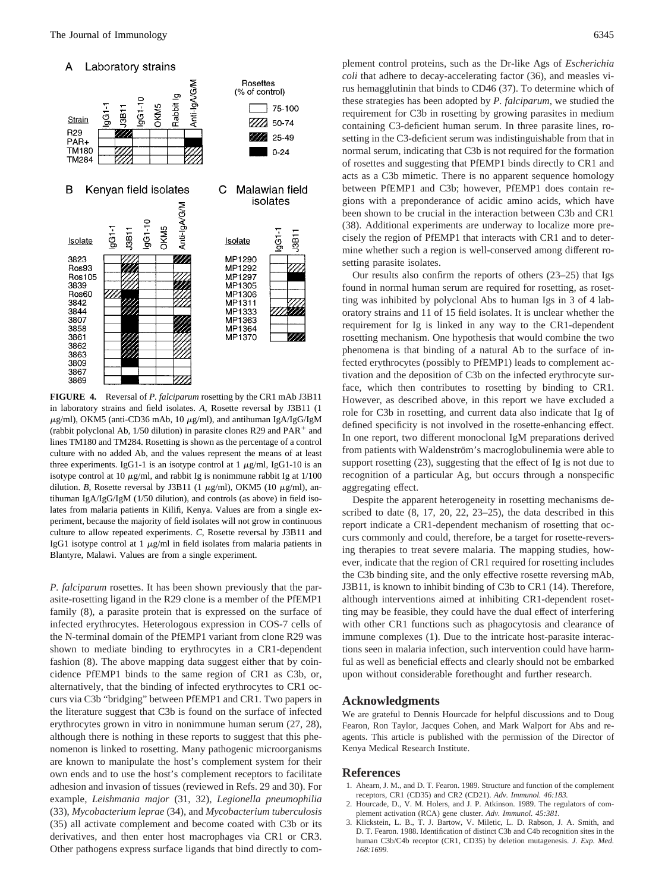

**FIGURE 4.** Reversal of *P. falciparum* rosetting by the CR1 mAb J3B11 in laboratory strains and field isolates. *A*, Rosette reversal by J3B11 (1  $\mu$ g/ml), OKM5 (anti-CD36 mAb, 10  $\mu$ g/ml), and antihuman IgA/IgG/IgM (rabbit polyclonal Ab,  $1/50$  dilution) in parasite clones R29 and PAR<sup>+</sup> and lines TM180 and TM284. Rosetting is shown as the percentage of a control culture with no added Ab, and the values represent the means of at least three experiments. IgG1-1 is an isotype control at  $1 \mu g/ml$ , IgG1-10 is an isotype control at 10  $\mu$ g/ml, and rabbit Ig is nonimmune rabbit Ig at 1/100 dilution. *B*, Rosette reversal by J3B11 (1  $\mu$ g/ml), OKM5 (10  $\mu$ g/ml), antihuman IgA/IgG/IgM (1/50 dilution), and controls (as above) in field isolates from malaria patients in Kilifi, Kenya. Values are from a single experiment, because the majority of field isolates will not grow in continuous culture to allow repeated experiments. *C*, Rosette reversal by J3B11 and IgG1 isotype control at 1  $\mu$ g/ml in field isolates from malaria patients in Blantyre, Malawi. Values are from a single experiment.

*P. falciparum* rosettes. It has been shown previously that the parasite-rosetting ligand in the R29 clone is a member of the PfEMP1 family (8), a parasite protein that is expressed on the surface of infected erythrocytes. Heterologous expression in COS-7 cells of the N-terminal domain of the PfEMP1 variant from clone R29 was shown to mediate binding to erythrocytes in a CR1-dependent fashion (8). The above mapping data suggest either that by coincidence PfEMP1 binds to the same region of CR1 as C3b, or, alternatively, that the binding of infected erythrocytes to CR1 occurs via C3b "bridging" between PfEMP1 and CR1. Two papers in the literature suggest that C3b is found on the surface of infected erythrocytes grown in vitro in nonimmune human serum (27, 28), although there is nothing in these reports to suggest that this phenomenon is linked to rosetting. Many pathogenic microorganisms are known to manipulate the host's complement system for their own ends and to use the host's complement receptors to facilitate adhesion and invasion of tissues (reviewed in Refs. 29 and 30). For example, *Leishmania major* (31, 32), *Legionella pneumophilia* (33), *Mycobacterium leprae* (34), and *Mycobacterium tuberculosis* (35) all activate complement and become coated with C3b or its derivatives, and then enter host macrophages via CR1 or CR3. Other pathogens express surface ligands that bind directly to complement control proteins, such as the Dr-like Ags of *Escherichia coli* that adhere to decay-accelerating factor (36), and measles virus hemagglutinin that binds to CD46 (37). To determine which of these strategies has been adopted by *P. falciparum*, we studied the requirement for C3b in rosetting by growing parasites in medium containing C3-deficient human serum. In three parasite lines, rosetting in the C3-deficient serum was indistinguishable from that in normal serum, indicating that C3b is not required for the formation of rosettes and suggesting that PfEMP1 binds directly to CR1 and acts as a C3b mimetic. There is no apparent sequence homology between PfEMP1 and C3b; however, PfEMP1 does contain regions with a preponderance of acidic amino acids, which have been shown to be crucial in the interaction between C3b and CR1 (38). Additional experiments are underway to localize more precisely the region of PfEMP1 that interacts with CR1 and to determine whether such a region is well-conserved among different rosetting parasite isolates.

Our results also confirm the reports of others (23–25) that Igs found in normal human serum are required for rosetting, as rosetting was inhibited by polyclonal Abs to human Igs in 3 of 4 laboratory strains and 11 of 15 field isolates. It is unclear whether the requirement for Ig is linked in any way to the CR1-dependent rosetting mechanism. One hypothesis that would combine the two phenomena is that binding of a natural Ab to the surface of infected erythrocytes (possibly to PfEMP1) leads to complement activation and the deposition of C3b on the infected erythrocyte surface, which then contributes to rosetting by binding to CR1. However, as described above, in this report we have excluded a role for C3b in rosetting, and current data also indicate that Ig of defined specificity is not involved in the rosette-enhancing effect. In one report, two different monoclonal IgM preparations derived from patients with Waldenström's macroglobulinemia were able to support rosetting (23), suggesting that the effect of Ig is not due to recognition of a particular Ag, but occurs through a nonspecific aggregating effect.

Despite the apparent heterogeneity in rosetting mechanisms described to date (8, 17, 20, 22, 23–25), the data described in this report indicate a CR1-dependent mechanism of rosetting that occurs commonly and could, therefore, be a target for rosette-reversing therapies to treat severe malaria. The mapping studies, however, indicate that the region of CR1 required for rosetting includes the C3b binding site, and the only effective rosette reversing mAb, J3B11, is known to inhibit binding of C3b to CR1 (14). Therefore, although interventions aimed at inhibiting CR1-dependent rosetting may be feasible, they could have the dual effect of interfering with other CR1 functions such as phagocytosis and clearance of immune complexes (1). Due to the intricate host-parasite interactions seen in malaria infection, such intervention could have harmful as well as beneficial effects and clearly should not be embarked upon without considerable forethought and further research.

#### **Acknowledgments**

We are grateful to Dennis Hourcade for helpful discussions and to Doug Fearon, Ron Taylor, Jacques Cohen, and Mark Walport for Abs and reagents. This article is published with the permission of the Director of Kenya Medical Research Institute.

#### **References**

- 1. Ahearn, J. M., and D. T. Fearon. 1989. Structure and function of the complement receptors, CR1 (CD35) and CR2 (CD21). *Adv. Immunol. 46:183.*
- 2. Hourcade, D., V. M. Holers, and J. P. Atkinson. 1989. The regulators of complement activation (RCA) gene cluster. *Adv. Immunol. 45:381.*
- 3. Klickstein, L. B., T. J. Bartow, V. Miletic, L. D. Rabson, J. A. Smith, and D. T. Fearon. 1988. Identification of distinct C3b and C4b recognition sites in the human C3b/C4b receptor (CR1, CD35) by deletion mutagenesis. *J. Exp. Med. 168:1699.*